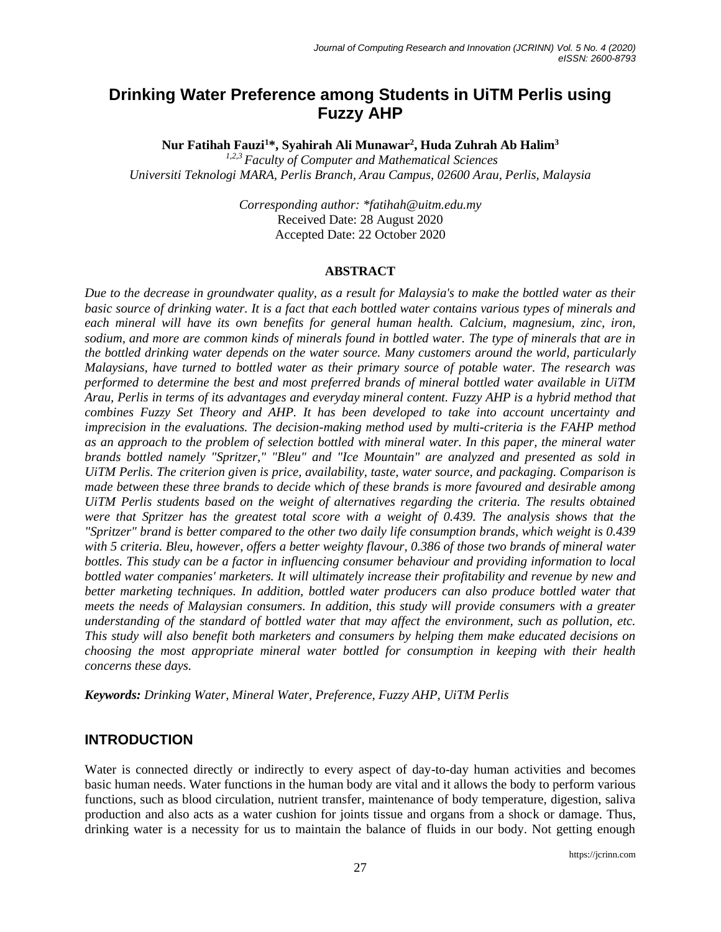# **Drinking Water Preference among Students in UiTM Perlis using Fuzzy AHP**

**Nur Fatihah Fauzi<sup>1</sup>\*, Syahirah Ali Munawar<sup>2</sup> , Huda Zuhrah Ab Halim<sup>3</sup>**

*1,2,3 Faculty of Computer and Mathematical Sciences Universiti Teknologi MARA, Perlis Branch, Arau Campus, 02600 Arau, Perlis, Malaysia*

> *Corresponding author: \*fatihah@uitm.edu.my* Received Date: 28 August 2020 Accepted Date: 22 October 2020

### **ABSTRACT**

*Due to the decrease in groundwater quality, as a result for Malaysia's to make the bottled water as their basic source of drinking water. It is a fact that each bottled water contains various types of minerals and each mineral will have its own benefits for general human health. Calcium, magnesium, zinc, iron, sodium, and more are common kinds of minerals found in bottled water. The type of minerals that are in the bottled drinking water depends on the water source. Many customers around the world, particularly Malaysians, have turned to bottled water as their primary source of potable water. The research was performed to determine the best and most preferred brands of mineral bottled water available in UiTM Arau, Perlis in terms of its advantages and everyday mineral content. Fuzzy AHP is a hybrid method that combines Fuzzy Set Theory and AHP. It has been developed to take into account uncertainty and imprecision in the evaluations. The decision-making method used by multi-criteria is the FAHP method as an approach to the problem of selection bottled with mineral water. In this paper, the mineral water brands bottled namely "Spritzer," "Bleu" and "Ice Mountain" are analyzed and presented as sold in UiTM Perlis. The criterion given is price, availability, taste, water source, and packaging. Comparison is made between these three brands to decide which of these brands is more favoured and desirable among UiTM Perlis students based on the weight of alternatives regarding the criteria. The results obtained were that Spritzer has the greatest total score with a weight of 0.439. The analysis shows that the "Spritzer" brand is better compared to the other two daily life consumption brands, which weight is 0.439 with 5 criteria. Bleu, however, offers a better weighty flavour, 0.386 of those two brands of mineral water bottles. This study can be a factor in influencing consumer behaviour and providing information to local bottled water companies' marketers. It will ultimately increase their profitability and revenue by new and better marketing techniques. In addition, bottled water producers can also produce bottled water that meets the needs of Malaysian consumers. In addition, this study will provide consumers with a greater understanding of the standard of bottled water that may affect the environment, such as pollution, etc. This study will also benefit both marketers and consumers by helping them make educated decisions on choosing the most appropriate mineral water bottled for consumption in keeping with their health concerns these days.*

*Keywords: Drinking Water, Mineral Water, Preference, Fuzzy AHP, UiTM Perlis* 

## **INTRODUCTION**

Water is connected directly or indirectly to every aspect of day-to-day human activities and becomes basic human needs. Water functions in the human body are vital and it allows the body to perform various functions, such as blood circulation, nutrient transfer, maintenance of body temperature, digestion, saliva production and also acts as a water cushion for joints tissue and organs from a shock or damage. Thus, drinking water is a necessity for us to maintain the balance of fluids in our body. Not getting enough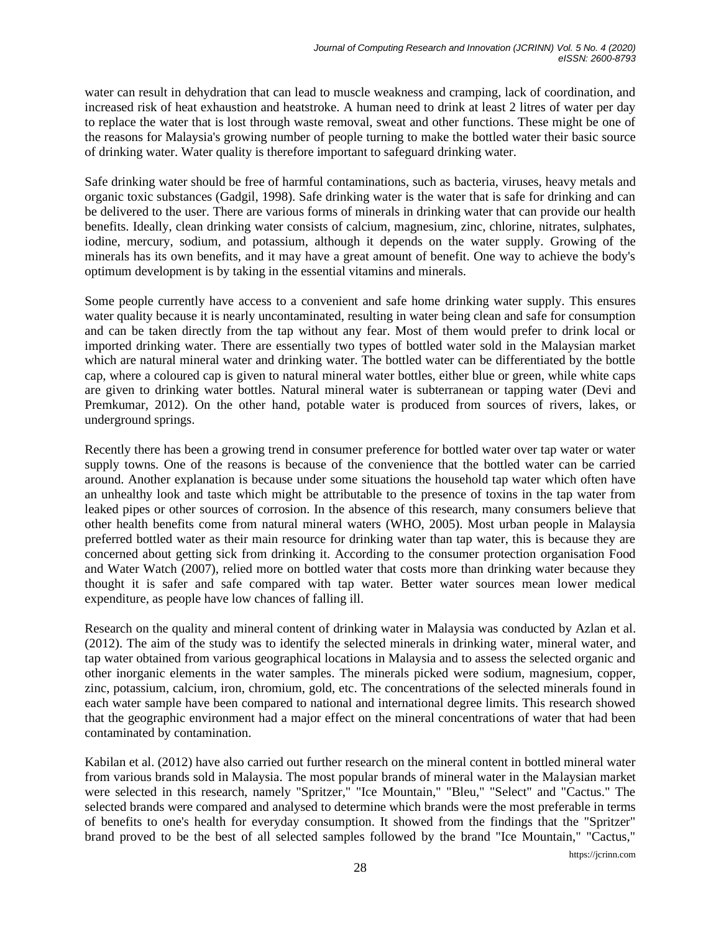water can result in dehydration that can lead to muscle weakness and cramping, lack of coordination, and increased risk of heat exhaustion and heatstroke. A human need to drink at least 2 litres of water per day to replace the water that is lost through waste removal, sweat and other functions. These might be one of the reasons for Malaysia's growing number of people turning to make the bottled water their basic source of drinking water. Water quality is therefore important to safeguard drinking water.

Safe drinking water should be free of harmful contaminations, such as bacteria, viruses, heavy metals and organic toxic substances (Gadgil, 1998). Safe drinking water is the water that is safe for drinking and can be delivered to the user. There are various forms of minerals in drinking water that can provide our health benefits. Ideally, clean drinking water consists of calcium, magnesium, zinc, chlorine, nitrates, sulphates, iodine, mercury, sodium, and potassium, although it depends on the water supply. Growing of the minerals has its own benefits, and it may have a great amount of benefit. One way to achieve the body's optimum development is by taking in the essential vitamins and minerals.

Some people currently have access to a convenient and safe home drinking water supply. This ensures water quality because it is nearly uncontaminated, resulting in water being clean and safe for consumption and can be taken directly from the tap without any fear. Most of them would prefer to drink local or imported drinking water. There are essentially two types of bottled water sold in the Malaysian market which are natural mineral water and drinking water. The bottled water can be differentiated by the bottle cap, where a coloured cap is given to natural mineral water bottles, either blue or green, while white caps are given to drinking water bottles. Natural mineral water is subterranean or tapping water (Devi and Premkumar, 2012). On the other hand, potable water is produced from sources of rivers, lakes, or underground springs.

Recently there has been a growing trend in consumer preference for bottled water over tap water or water supply towns. One of the reasons is because of the convenience that the bottled water can be carried around. Another explanation is because under some situations the household tap water which often have an unhealthy look and taste which might be attributable to the presence of toxins in the tap water from leaked pipes or other sources of corrosion. In the absence of this research, many consumers believe that other health benefits come from natural mineral waters (WHO, 2005). Most urban people in Malaysia preferred bottled water as their main resource for drinking water than tap water, this is because they are concerned about getting sick from drinking it. According to the consumer protection organisation Food and Water Watch (2007), relied more on bottled water that costs more than drinking water because they thought it is safer and safe compared with tap water. Better water sources mean lower medical expenditure, as people have low chances of falling ill.

Research on the quality and mineral content of drinking water in Malaysia was conducted by Azlan et al. (2012). The aim of the study was to identify the selected minerals in drinking water, mineral water, and tap water obtained from various geographical locations in Malaysia and to assess the selected organic and other inorganic elements in the water samples. The minerals picked were sodium, magnesium, copper, zinc, potassium, calcium, iron, chromium, gold, etc. The concentrations of the selected minerals found in each water sample have been compared to national and international degree limits. This research showed that the geographic environment had a major effect on the mineral concentrations of water that had been contaminated by contamination.

Kabilan et al. (2012) have also carried out further research on the mineral content in bottled mineral water from various brands sold in Malaysia. The most popular brands of mineral water in the Malaysian market were selected in this research, namely "Spritzer," "Ice Mountain," "Bleu," "Select" and "Cactus." The selected brands were compared and analysed to determine which brands were the most preferable in terms of benefits to one's health for everyday consumption. It showed from the findings that the "Spritzer" brand proved to be the best of all selected samples followed by the brand "Ice Mountain," "Cactus,"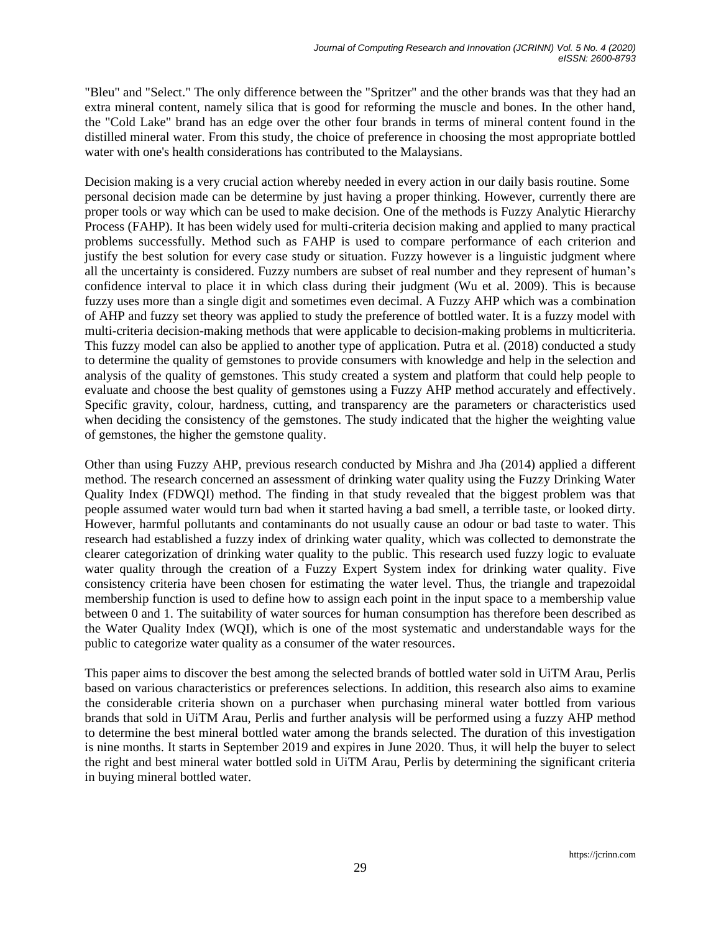"Bleu" and "Select." The only difference between the "Spritzer" and the other brands was that they had an extra mineral content, namely silica that is good for reforming the muscle and bones. In the other hand, the "Cold Lake" brand has an edge over the other four brands in terms of mineral content found in the distilled mineral water. From this study, the choice of preference in choosing the most appropriate bottled water with one's health considerations has contributed to the Malaysians.

Decision making is a very crucial action whereby needed in every action in our daily basis routine. Some personal decision made can be determine by just having a proper thinking. However, currently there are proper tools or way which can be used to make decision. One of the methods is Fuzzy Analytic Hierarchy Process (FAHP). It has been widely used for multi-criteria decision making and applied to many practical problems successfully. Method such as FAHP is used to compare performance of each criterion and justify the best solution for every case study or situation. Fuzzy however is a linguistic judgment where all the uncertainty is considered. Fuzzy numbers are subset of real number and they represent of human's confidence interval to place it in which class during their judgment (Wu et al. 2009). This is because fuzzy uses more than a single digit and sometimes even decimal. A Fuzzy AHP which was a combination of AHP and fuzzy set theory was applied to study the preference of bottled water. It is a fuzzy model with multi-criteria decision-making methods that were applicable to decision-making problems in multicriteria. This fuzzy model can also be applied to another type of application. Putra et al. (2018) conducted a study to determine the quality of gemstones to provide consumers with knowledge and help in the selection and analysis of the quality of gemstones. This study created a system and platform that could help people to evaluate and choose the best quality of gemstones using a Fuzzy AHP method accurately and effectively. Specific gravity, colour, hardness, cutting, and transparency are the parameters or characteristics used when deciding the consistency of the gemstones. The study indicated that the higher the weighting value of gemstones, the higher the gemstone quality.

Other than using Fuzzy AHP, previous research conducted by Mishra and Jha (2014) applied a different method. The research concerned an assessment of drinking water quality using the Fuzzy Drinking Water Quality Index (FDWQI) method. The finding in that study revealed that the biggest problem was that people assumed water would turn bad when it started having a bad smell, a terrible taste, or looked dirty. However, harmful pollutants and contaminants do not usually cause an odour or bad taste to water. This research had established a fuzzy index of drinking water quality, which was collected to demonstrate the clearer categorization of drinking water quality to the public. This research used fuzzy logic to evaluate water quality through the creation of a Fuzzy Expert System index for drinking water quality. Five consistency criteria have been chosen for estimating the water level. Thus, the triangle and trapezoidal membership function is used to define how to assign each point in the input space to a membership value between 0 and 1. The suitability of water sources for human consumption has therefore been described as the Water Quality Index (WQI), which is one of the most systematic and understandable ways for the public to categorize water quality as a consumer of the water resources.

This paper aims to discover the best among the selected brands of bottled water sold in UiTM Arau, Perlis based on various characteristics or preferences selections. In addition, this research also aims to examine the considerable criteria shown on a purchaser when purchasing mineral water bottled from various brands that sold in UiTM Arau, Perlis and further analysis will be performed using a fuzzy AHP method to determine the best mineral bottled water among the brands selected. The duration of this investigation is nine months. It starts in September 2019 and expires in June 2020. Thus, it will help the buyer to select the right and best mineral water bottled sold in UiTM Arau, Perlis by determining the significant criteria in buying mineral bottled water.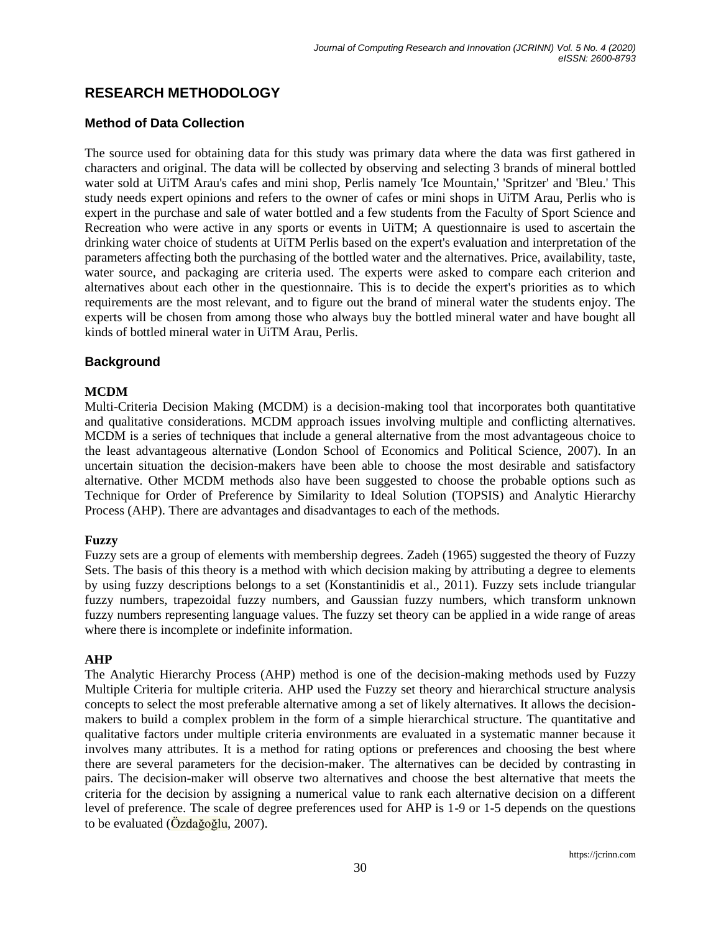# **RESEARCH METHODOLOGY**

## **Method of Data Collection**

The source used for obtaining data for this study was primary data where the data was first gathered in characters and original. The data will be collected by observing and selecting 3 brands of mineral bottled water sold at UiTM Arau's cafes and mini shop, Perlis namely 'Ice Mountain,' 'Spritzer' and 'Bleu.' This study needs expert opinions and refers to the owner of cafes or mini shops in UiTM Arau, Perlis who is expert in the purchase and sale of water bottled and a few students from the Faculty of Sport Science and Recreation who were active in any sports or events in UiTM; A questionnaire is used to ascertain the drinking water choice of students at UiTM Perlis based on the expert's evaluation and interpretation of the parameters affecting both the purchasing of the bottled water and the alternatives. Price, availability, taste, water source, and packaging are criteria used. The experts were asked to compare each criterion and alternatives about each other in the questionnaire. This is to decide the expert's priorities as to which requirements are the most relevant, and to figure out the brand of mineral water the students enjoy. The experts will be chosen from among those who always buy the bottled mineral water and have bought all kinds of bottled mineral water in UiTM Arau, Perlis.

### **Background**

### **MCDM**

Multi-Criteria Decision Making (MCDM) is a decision-making tool that incorporates both quantitative and qualitative considerations. MCDM approach issues involving multiple and conflicting alternatives. MCDM is a series of techniques that include a general alternative from the most advantageous choice to the least advantageous alternative (London School of Economics and Political Science, 2007). In an uncertain situation the decision-makers have been able to choose the most desirable and satisfactory alternative. Other MCDM methods also have been suggested to choose the probable options such as Technique for Order of Preference by Similarity to Ideal Solution (TOPSIS) and Analytic Hierarchy Process (AHP). There are advantages and disadvantages to each of the methods.

### **Fuzzy**

Fuzzy sets are a group of elements with membership degrees. Zadeh (1965) suggested the theory of Fuzzy Sets. The basis of this theory is a method with which decision making by attributing a degree to elements by using fuzzy descriptions belongs to a set (Konstantinidis et al., 2011). Fuzzy sets include triangular fuzzy numbers, trapezoidal fuzzy numbers, and Gaussian fuzzy numbers, which transform unknown fuzzy numbers representing language values. The fuzzy set theory can be applied in a wide range of areas where there is incomplete or indefinite information.

### **AHP**

The Analytic Hierarchy Process (AHP) method is one of the decision-making methods used by Fuzzy Multiple Criteria for multiple criteria. AHP used the Fuzzy set theory and hierarchical structure analysis concepts to select the most preferable alternative among a set of likely alternatives. It allows the decisionmakers to build a complex problem in the form of a simple hierarchical structure. The quantitative and qualitative factors under multiple criteria environments are evaluated in a systematic manner because it involves many attributes. It is a method for rating options or preferences and choosing the best where there are several parameters for the decision-maker. The alternatives can be decided by contrasting in pairs. The decision-maker will observe two alternatives and choose the best alternative that meets the criteria for the decision by assigning a numerical value to rank each alternative decision on a different level of preference. The scale of degree preferences used for AHP is 1-9 or 1-5 depends on the questions to be evaluated (Özdağoğlu, 2007).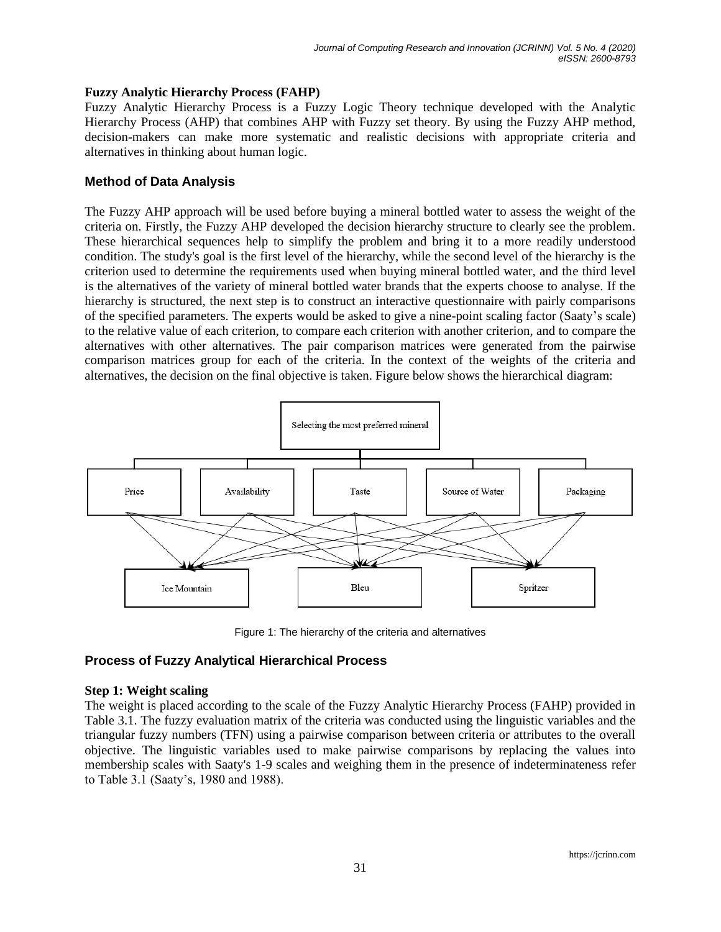### **Fuzzy Analytic Hierarchy Process (FAHP)**

Fuzzy Analytic Hierarchy Process is a Fuzzy Logic Theory technique developed with the Analytic Hierarchy Process (AHP) that combines AHP with Fuzzy set theory. By using the Fuzzy AHP method, decision-makers can make more systematic and realistic decisions with appropriate criteria and alternatives in thinking about human logic.

## **Method of Data Analysis**

The Fuzzy AHP approach will be used before buying a mineral bottled water to assess the weight of the criteria on. Firstly, the Fuzzy AHP developed the decision hierarchy structure to clearly see the problem. These hierarchical sequences help to simplify the problem and bring it to a more readily understood condition. The study's goal is the first level of the hierarchy, while the second level of the hierarchy is the criterion used to determine the requirements used when buying mineral bottled water, and the third level is the alternatives of the variety of mineral bottled water brands that the experts choose to analyse. If the hierarchy is structured, the next step is to construct an interactive questionnaire with pairly comparisons of the specified parameters. The experts would be asked to give a nine-point scaling factor (Saaty's scale) to the relative value of each criterion, to compare each criterion with another criterion, and to compare the alternatives with other alternatives. The pair comparison matrices were generated from the pairwise comparison matrices group for each of the criteria. In the context of the weights of the criteria and alternatives, the decision on the final objective is taken. Figure below shows the hierarchical diagram:



Figure 1: The hierarchy of the criteria and alternatives

## **Process of Fuzzy Analytical Hierarchical Process**

### **Step 1: Weight scaling**

The weight is placed according to the scale of the Fuzzy Analytic Hierarchy Process (FAHP) provided in Table 3.1. The fuzzy evaluation matrix of the criteria was conducted using the linguistic variables and the triangular fuzzy numbers (TFN) using a pairwise comparison between criteria or attributes to the overall objective. The linguistic variables used to make pairwise comparisons by replacing the values into membership scales with Saaty's 1-9 scales and weighing them in the presence of indeterminateness refer to Table 3.1 (Saaty's, 1980 and 1988).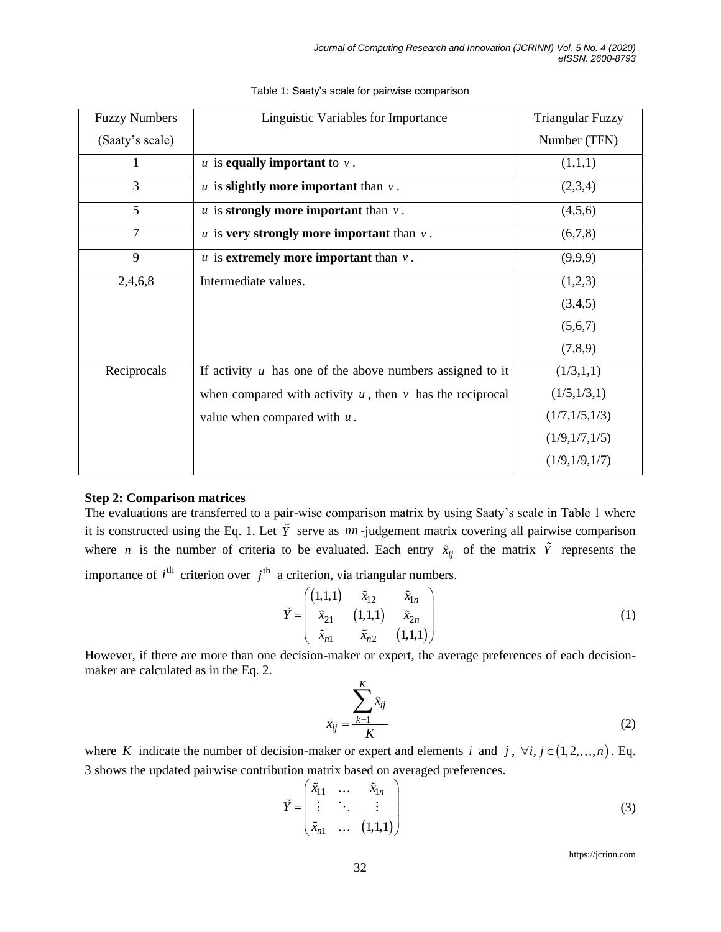| <b>Fuzzy Numbers</b> | Linguistic Variables for Importance                           | <b>Triangular Fuzzy</b> |
|----------------------|---------------------------------------------------------------|-------------------------|
| (Saaty's scale)      |                                                               | Number (TFN)            |
| T                    | $u$ is equally important to $v$ .                             | (1,1,1)                 |
| 3                    | $u$ is <b>slightly more important</b> than $v$ .              | (2,3,4)                 |
| 5                    | $u$ is <b>strongly more important</b> than $v$ .              | (4,5,6)                 |
| $\overline{7}$       | $u$ is very strongly more important than $v$ .                | (6,7,8)                 |
| 9                    | $u$ is extremely more important than $v$ .                    | (9,9,9)                 |
| 2,4,6,8              | Intermediate values.                                          | (1,2,3)                 |
|                      |                                                               | (3,4,5)                 |
|                      |                                                               | (5,6,7)                 |
|                      |                                                               | (7,8,9)                 |
| Reciprocals          | If activity $u$ has one of the above numbers assigned to it   | (1/3,1,1)               |
|                      | when compared with activity $u$ , then $v$ has the reciprocal | (1/5,1/3,1)             |
|                      | value when compared with $u$ .                                | (1/7,1/5,1/3)           |
|                      |                                                               | (1/9,1/7,1/5)           |
|                      |                                                               | (1/9,1/9,1/7)           |

Table 1: Saaty's scale for pairwise comparison

### **Step 2: Comparison matrices**

The evaluations are transferred to a pair-wise comparison matrix by using Saaty's scale in Table 1 where it is constructed using the Eq. 1. Let  $\hat{Y}$  serve as  $nn$ -judgement matrix covering all pairwise comparison where *n* is the number of criteria to be evaluated. Each entry  $\tilde{x}_{ij}$  of the matrix  $\tilde{Y}$  represents the importance of  $i^{\text{th}}$  criterion over  $j^{\text{th}}$  a criterion, via triangular numbers.

$$
\tilde{Y} = \begin{pmatrix} (1,1,1) & \tilde{x}_{12} & \tilde{x}_{1n} \\ \tilde{x}_{21} & (1,1,1) & \tilde{x}_{2n} \\ \tilde{x}_{n1} & \tilde{x}_{n2} & (1,1,1) \end{pmatrix}
$$
 (1)

However, if there are more than one decision-maker or expert, the average preferences of each decisionmaker are calculated as in the Eq. 2.

$$
\tilde{x}_{ij} = \frac{\sum_{k=1}^{K} \tilde{x}_{ij}}{K}
$$
\n(2)

where *K* indicate the number of decision-maker or expert and elements *i* and *j*,  $\forall i, j \in (1, 2, ..., n)$ . Eq. 3 shows the updated pairwise contribution matrix based on averaged preferences.

$$
\tilde{Y} = \begin{pmatrix} \tilde{x}_{11} & \dots & \tilde{x}_{1n} \\ \vdots & \ddots & \vdots \\ \tilde{x}_{n1} & \dots & (1,1,1) \end{pmatrix}
$$
\n(3)

https://jcrinn.com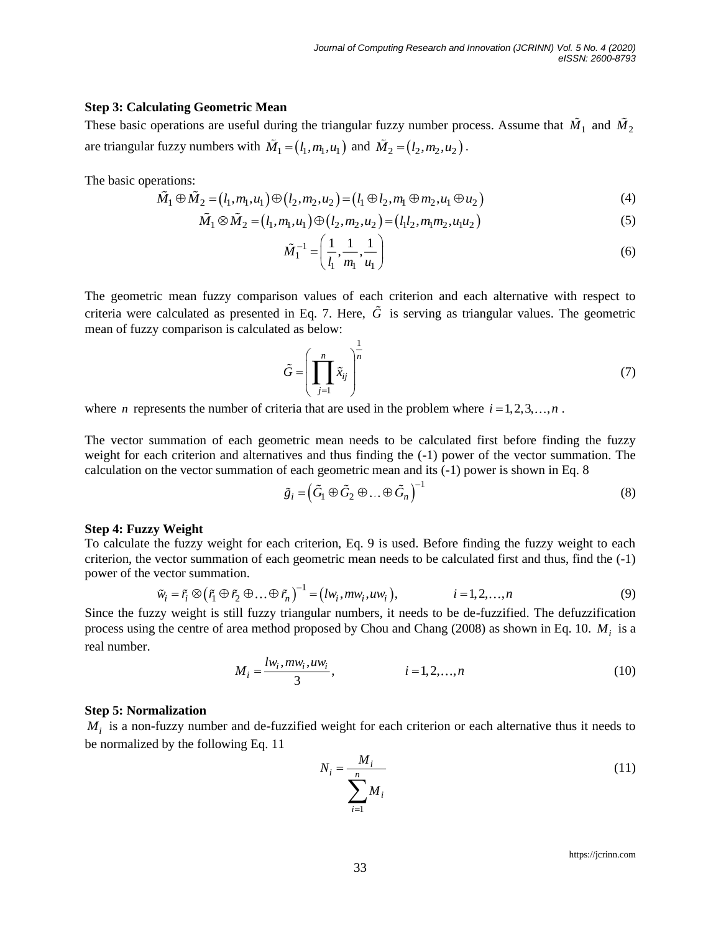#### **Step 3: Calculating Geometric Mean**

These basic operations are useful during the triangular fuzzy number process. Assume that  $M_1$  and  $M_2$ are triangular fuzzy numbers with  $\tilde{M}_1 = (l_1, m_1, u_1)$  and  $\tilde{M}_2 = (l_2, m_2, u_2)$ .

The basic operations:

erations:  
\n
$$
\tilde{M}_1 \oplus \tilde{M}_2 = (l_1, m_1, u_1) \oplus (l_2, m_2, u_2) = (l_1 \oplus l_2, m_1 \oplus m_2, u_1 \oplus u_2)
$$
\n(4)

$$
\tilde{M}_1 \otimes \tilde{M}_2 = (l_1, m_1, u_1) \oplus (l_2, m_2, u_2) = (l_1 l_2, m_1 m_2, u_1 u_2)
$$
\n<sup>(5)</sup>

$$
\tilde{M}_1^{-1} = \left(\frac{1}{l_1}, \frac{1}{m_1}, \frac{1}{u_1}\right) \tag{6}
$$

The geometric mean fuzzy comparison values of each criterion and each alternative with respect to criteria were calculated as presented in Eq. 7. Here, *G* is serving as triangular values. The geometric mean of fuzzy comparison is calculated as below:

$$
\tilde{G} = \left(\prod_{j=1}^{n} \tilde{x}_{ij}\right)^{\frac{1}{n}}
$$
\n(7)

where *n* represents the number of criteria that are used in the problem where  $i = 1, 2, 3, \ldots, n$ .

The vector summation of each geometric mean needs to be calculated first before finding the fuzzy weight for each criterion and alternatives and thus finding the  $(-1)$  power of the vector summation. The calculation on the vector summation of each geometric mean and its (-1) power is shown in Eq. 8

$$
\tilde{g}_i = \left(\tilde{G}_1 \oplus \tilde{G}_2 \oplus \ldots \oplus \tilde{G}_n\right)^{-1} \tag{8}
$$

#### **Step 4: Fuzzy Weight**

To calculate the fuzzy weight for each criterion, Eq. 9 is used. Before finding the fuzzy weight to each criterion, the vector summation of each geometric mean needs to be calculated first and thus, find the (-1) power of the vector summation.<br>  $\tilde{w}_i = \tilde{r}_i \otimes (\tilde{r}_1 \oplus \tilde{r}_2 \oplus ... \oplus \tilde{r}_n)^{-1} = (lw_i, mw_i, uw_i),$   $i = 1, 2, ..., n$  ( power of the vector summation.

$$
\tilde{w}_i = \tilde{r}_i \otimes (\tilde{r}_1 \oplus \tilde{r}_2 \oplus \dots \oplus \tilde{r}_n)^{-1} = (lw_i, mw_i, uw_i), \qquad i = 1, 2, \dots, n
$$
\n(9)

Since the fuzzy weight is still fuzzy triangular numbers, it needs to be de-fuzzified. The defuzzification process using the centre of area method proposed by Chou and Chang (2008) as shown in Eq. 10. *M<sup>i</sup>* is a real number.

$$
M_{i} = \frac{lw_{i}, mw_{i}, uw_{i}}{3}, \qquad i = 1, 2, ..., n
$$
 (10)

#### **Step 5: Normalization**

 $M_i$  is a non-fuzzy number and de-fuzzified weight for each criterion or each alternative thus it needs to be normalized by the following Eq. 11

$$
N_i = \frac{M_i}{\sum_{i=1}^n M_i} \tag{11}
$$

https://jcrinn.com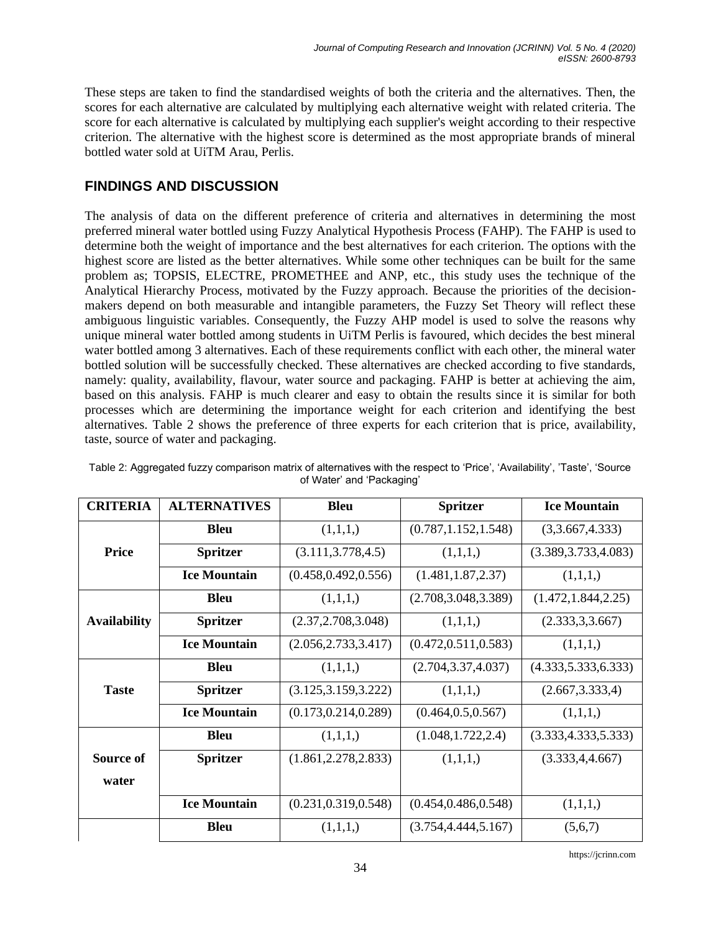These steps are taken to find the standardised weights of both the criteria and the alternatives. Then, the scores for each alternative are calculated by multiplying each alternative weight with related criteria. The score for each alternative is calculated by multiplying each supplier's weight according to their respective criterion. The alternative with the highest score is determined as the most appropriate brands of mineral bottled water sold at UiTM Arau, Perlis.

# **FINDINGS AND DISCUSSION**

The analysis of data on the different preference of criteria and alternatives in determining the most preferred mineral water bottled using Fuzzy Analytical Hypothesis Process (FAHP). The FAHP is used to determine both the weight of importance and the best alternatives for each criterion. The options with the highest score are listed as the better alternatives. While some other techniques can be built for the same problem as; TOPSIS, ELECTRE, PROMETHEE and ANP, etc., this study uses the technique of the Analytical Hierarchy Process, motivated by the Fuzzy approach. Because the priorities of the decisionmakers depend on both measurable and intangible parameters, the Fuzzy Set Theory will reflect these ambiguous linguistic variables. Consequently, the Fuzzy AHP model is used to solve the reasons why unique mineral water bottled among students in UiTM Perlis is favoured, which decides the best mineral water bottled among 3 alternatives. Each of these requirements conflict with each other, the mineral water bottled solution will be successfully checked. These alternatives are checked according to five standards, namely: quality, availability, flavour, water source and packaging. FAHP is better at achieving the aim, based on this analysis. FAHP is much clearer and easy to obtain the results since it is similar for both processes which are determining the importance weight for each criterion and identifying the best alternatives. Table 2 shows the preference of three experts for each criterion that is price, availability, taste, source of water and packaging.

| <b>CRITERIA</b>     | <b>ALTERNATIVES</b> | <b>Bleu</b>           | <b>Spritzer</b>       | <b>Ice Mountain</b>   |
|---------------------|---------------------|-----------------------|-----------------------|-----------------------|
|                     | <b>Bleu</b>         | (1,1,1,)              | (0.787, 1.152, 1.548) | (3,3.667,4.333)       |
| <b>Price</b>        | <b>Spritzer</b>     | (3.111, 3.778, 4.5)   | (1,1,1,)              | (3.389, 3.733, 4.083) |
|                     | <b>Ice Mountain</b> | (0.458, 0.492, 0.556) | (1.481, 1.87, 2.37)   | (1,1,1,)              |
|                     | <b>Bleu</b>         | (1,1,1,)              | (2.708, 3.048, 3.389) | (1.472, 1.844, 2.25)  |
| <b>Availability</b> | <b>Spritzer</b>     | (2.37, 2.708, 3.048)  | (1,1,1,)              | (2.333, 3.3.667)      |
|                     | <b>Ice Mountain</b> | (2.056, 2.733, 3.417) | (0.472, 0.511, 0.583) | (1,1,1,)              |
|                     | <b>Bleu</b>         | (1,1,1,)              | (2.704, 3.37, 4.037)  | (4.333, 5.333, 6.333) |
| <b>Taste</b>        | <b>Spritzer</b>     | (3.125, 3.159, 3.222) | (1,1,1,)              | (2.667, 3.333, 4)     |
|                     | <b>Ice Mountain</b> | (0.173, 0.214, 0.289) | (0.464, 0.5, 0.567)   | (1,1,1,)              |
|                     | <b>Bleu</b>         | (1,1,1,)              | (1.048, 1.722, 2.4)   | (3.333, 4.333, 5.333) |
| Source of           | <b>Spritzer</b>     | (1.861, 2.278, 2.833) | (1,1,1,)              | (3.333, 4, 4.667)     |
| water               |                     |                       |                       |                       |
|                     | <b>Ice Mountain</b> | (0.231, 0.319, 0.548) | (0.454, 0.486, 0.548) | (1,1,1,)              |
|                     | <b>Bleu</b>         | (1,1,1,)              | (3.754, 4.444, 5.167) | (5,6,7)               |

| Table 2: Aggregated fuzzy comparison matrix of alternatives with the respect to 'Price', 'Availability', 'Taste', 'Source |  |
|---------------------------------------------------------------------------------------------------------------------------|--|
| of Water' and 'Packaging'                                                                                                 |  |

https://jcrinn.com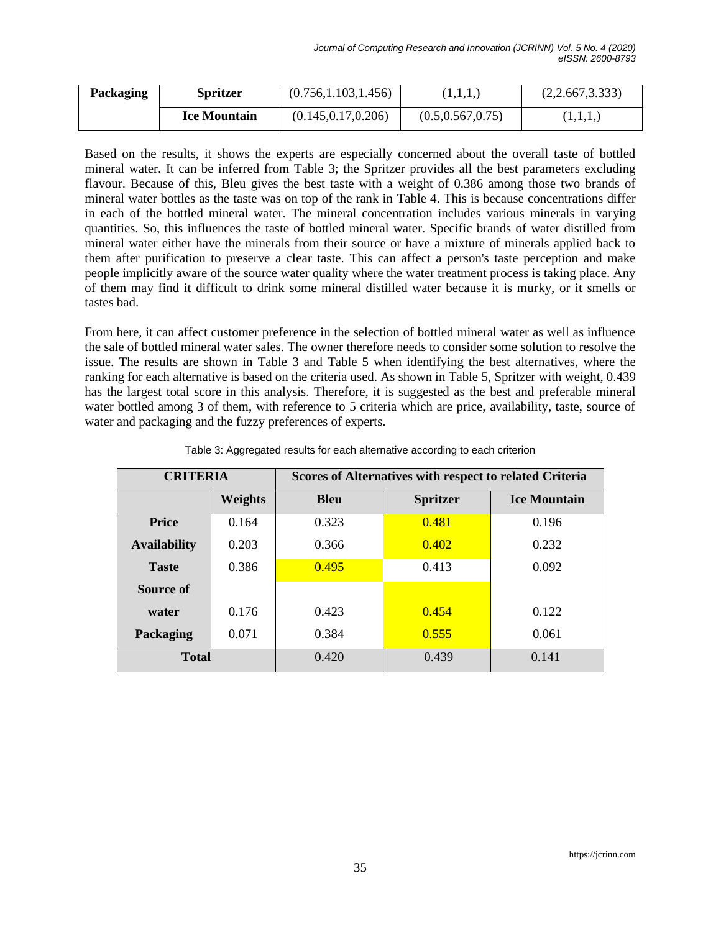| Packaging | <b>Spritzer</b>     | (0.756, 1.103, 1.456) | (1,1,1,1)          | (2,2.667,3.333) |
|-----------|---------------------|-----------------------|--------------------|-----------------|
|           | <b>Ice Mountain</b> | (0.145, 0.17, 0.206)  | (0.5, 0.567, 0.75) | (1,1,1,)        |

Based on the results, it shows the experts are especially concerned about the overall taste of bottled mineral water. It can be inferred from Table 3; the Spritzer provides all the best parameters excluding flavour. Because of this, Bleu gives the best taste with a weight of 0.386 among those two brands of mineral water bottles as the taste was on top of the rank in Table 4. This is because concentrations differ in each of the bottled mineral water. The mineral concentration includes various minerals in varying quantities. So, this influences the taste of bottled mineral water. Specific brands of water distilled from mineral water either have the minerals from their source or have a mixture of minerals applied back to them after purification to preserve a clear taste. This can affect a person's taste perception and make people implicitly aware of the source water quality where the water treatment process is taking place. Any of them may find it difficult to drink some mineral distilled water because it is murky, or it smells or tastes bad.

From here, it can affect customer preference in the selection of bottled mineral water as well as influence the sale of bottled mineral water sales. The owner therefore needs to consider some solution to resolve the issue. The results are shown in Table 3 and Table 5 when identifying the best alternatives, where the ranking for each alternative is based on the criteria used. As shown in Table 5, Spritzer with weight, 0.439 has the largest total score in this analysis. Therefore, it is suggested as the best and preferable mineral water bottled among 3 of them, with reference to 5 criteria which are price, availability, taste, source of water and packaging and the fuzzy preferences of experts.

| <b>CRITERIA</b>     |         | <b>Scores of Alternatives with respect to related Criteria</b> |                 |                     |  |
|---------------------|---------|----------------------------------------------------------------|-----------------|---------------------|--|
|                     | Weights | <b>Bleu</b>                                                    | <b>Spritzer</b> | <b>Ice Mountain</b> |  |
| <b>Price</b>        | 0.164   | 0.323                                                          | 0.481           | 0.196               |  |
| <b>Availability</b> | 0.203   | 0.366                                                          | 0.402           | 0.232               |  |
| <b>Taste</b>        | 0.386   | 0.495                                                          | 0.413           | 0.092               |  |
| Source of           |         |                                                                |                 |                     |  |
| water               | 0.176   | 0.423                                                          | 0.454           | 0.122               |  |
| Packaging           | 0.071   | 0.384                                                          | 0.555           | 0.061               |  |
| <b>Total</b>        |         | 0.420                                                          | 0.439           | 0.141               |  |

Table 3: Aggregated results for each alternative according to each criterion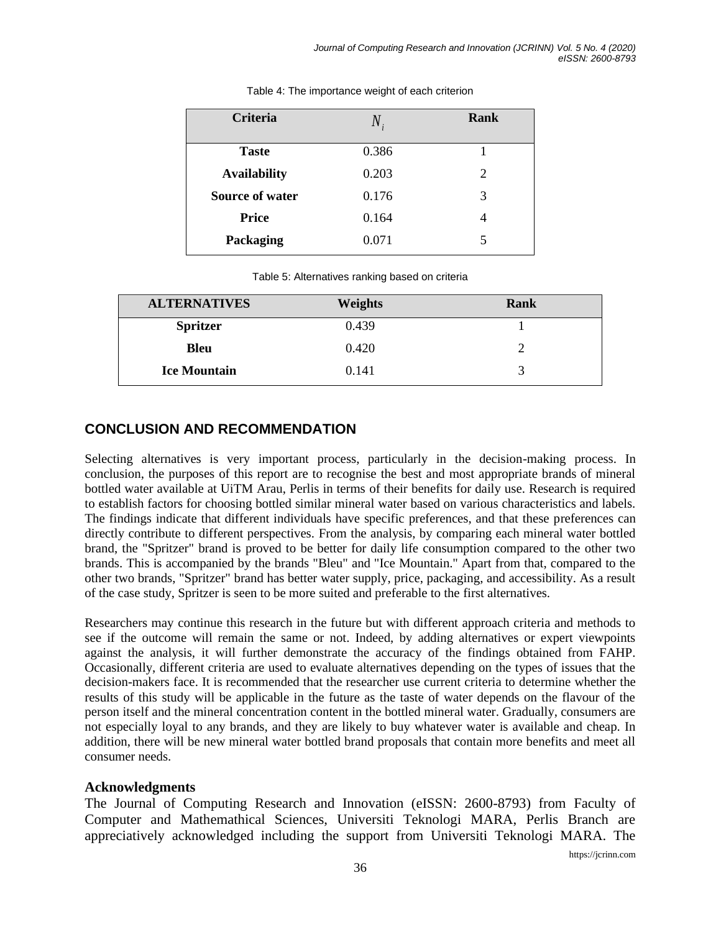| <b>Criteria</b>        | $N_{i}$ | Rank |
|------------------------|---------|------|
| <b>Taste</b>           | 0.386   |      |
| <b>Availability</b>    | 0.203   | 2    |
| <b>Source of water</b> | 0.176   | 3    |
| <b>Price</b>           | 0.164   | 4    |
| Packaging              | 0.071   | 5    |

Table 4: The importance weight of each criterion

|  | Table 5: Alternatives ranking based on criteria |  |  |  |  |
|--|-------------------------------------------------|--|--|--|--|
|--|-------------------------------------------------|--|--|--|--|

| <b>ALTERNATIVES</b> | Weights | Rank |
|---------------------|---------|------|
| <b>Spritzer</b>     | 0.439   |      |
| <b>Bleu</b>         | 0.420   |      |
| <b>Ice Mountain</b> | 0.141   | 3    |

## **CONCLUSION AND RECOMMENDATION**

Selecting alternatives is very important process, particularly in the decision-making process. In conclusion, the purposes of this report are to recognise the best and most appropriate brands of mineral bottled water available at UiTM Arau, Perlis in terms of their benefits for daily use. Research is required to establish factors for choosing bottled similar mineral water based on various characteristics and labels. The findings indicate that different individuals have specific preferences, and that these preferences can directly contribute to different perspectives. From the analysis, by comparing each mineral water bottled brand, the "Spritzer" brand is proved to be better for daily life consumption compared to the other two brands. This is accompanied by the brands "Bleu" and "Ice Mountain." Apart from that, compared to the other two brands, "Spritzer" brand has better water supply, price, packaging, and accessibility. As a result of the case study, Spritzer is seen to be more suited and preferable to the first alternatives.

Researchers may continue this research in the future but with different approach criteria and methods to see if the outcome will remain the same or not. Indeed, by adding alternatives or expert viewpoints against the analysis, it will further demonstrate the accuracy of the findings obtained from FAHP. Occasionally, different criteria are used to evaluate alternatives depending on the types of issues that the decision-makers face. It is recommended that the researcher use current criteria to determine whether the results of this study will be applicable in the future as the taste of water depends on the flavour of the person itself and the mineral concentration content in the bottled mineral water. Gradually, consumers are not especially loyal to any brands, and they are likely to buy whatever water is available and cheap. In addition, there will be new mineral water bottled brand proposals that contain more benefits and meet all consumer needs.

## **Acknowledgments**

The Journal of Computing Research and Innovation (eISSN: 2600-8793) from Faculty of Computer and Mathemathical Sciences, Universiti Teknologi MARA, Perlis Branch are appreciatively acknowledged including the support from Universiti Teknologi MARA. The